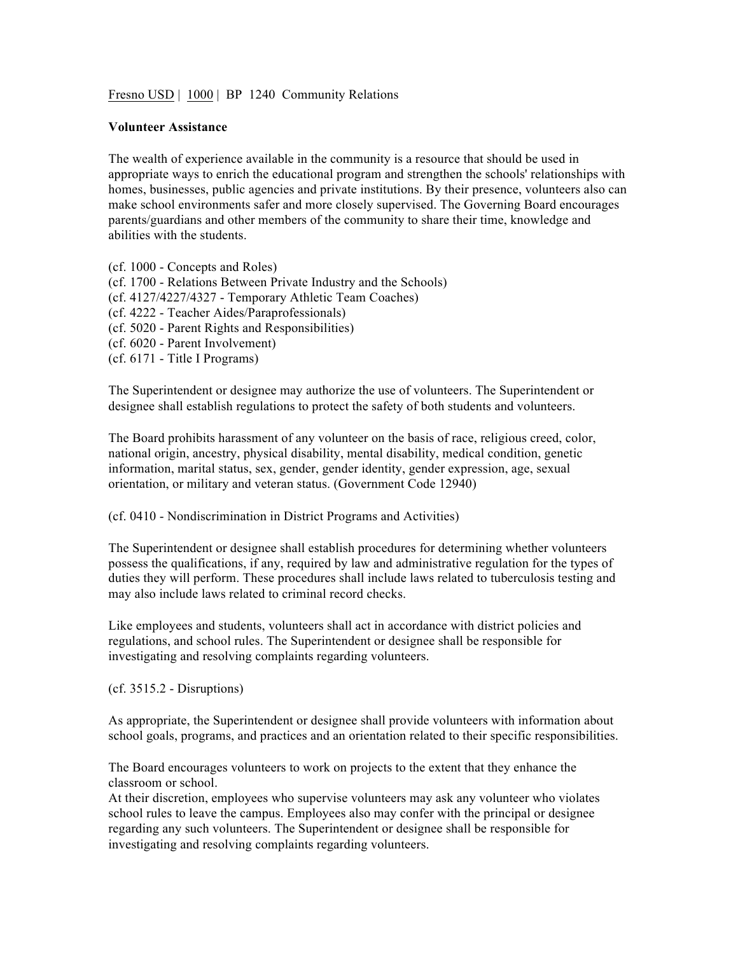Fresno USD | 1000 | BP 1240 Community Relations

## **Volunteer Assistance**

The wealth of experience available in the community is a resource that should be used in appropriate ways to enrich the educational program and strengthen the schools' relationships with homes, businesses, public agencies and private institutions. By their presence, volunteers also can make school environments safer and more closely supervised. The Governing Board encourages parents/guardians and other members of the community to share their time, knowledge and abilities with the students.

(cf. 1000 - Concepts and Roles) (cf. 1700 - Relations Between Private Industry and the Schools) (cf. 4127/4227/4327 - Temporary Athletic Team Coaches) (cf. 4222 - Teacher Aides/Paraprofessionals) (cf. 5020 - Parent Rights and Responsibilities) (cf. 6020 - Parent Involvement) (cf. 6171 - Title I Programs)

The Superintendent or designee may authorize the use of volunteers. The Superintendent or designee shall establish regulations to protect the safety of both students and volunteers.

The Board prohibits harassment of any volunteer on the basis of race, religious creed, color, national origin, ancestry, physical disability, mental disability, medical condition, genetic information, marital status, sex, gender, gender identity, gender expression, age, sexual orientation, or military and veteran status. (Government Code 12940)

(cf. 0410 - Nondiscrimination in District Programs and Activities)

The Superintendent or designee shall establish procedures for determining whether volunteers possess the qualifications, if any, required by law and administrative regulation for the types of duties they will perform. These procedures shall include laws related to tuberculosis testing and may also include laws related to criminal record checks.

Like employees and students, volunteers shall act in accordance with district policies and regulations, and school rules. The Superintendent or designee shall be responsible for investigating and resolving complaints regarding volunteers.

(cf. 3515.2 - Disruptions)

As appropriate, the Superintendent or designee shall provide volunteers with information about school goals, programs, and practices and an orientation related to their specific responsibilities.

The Board encourages volunteers to work on projects to the extent that they enhance the classroom or school.

At their discretion, employees who supervise volunteers may ask any volunteer who violates school rules to leave the campus. Employees also may confer with the principal or designee regarding any such volunteers. The Superintendent or designee shall be responsible for investigating and resolving complaints regarding volunteers.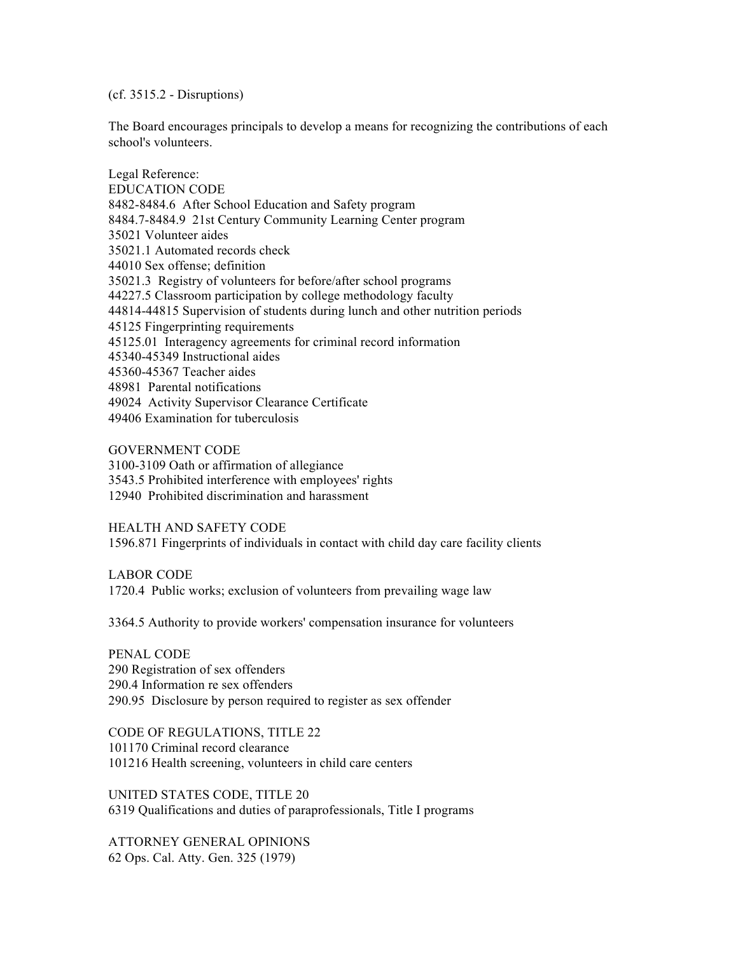(cf. 3515.2 - Disruptions)

The Board encourages principals to develop a means for recognizing the contributions of each school's volunteers.

Legal Reference: EDUCATION CODE 8482-8484.6 After School Education and Safety program 8484.7-8484.9 21st Century Community Learning Center program 35021 Volunteer aides 35021.1 Automated records check 44010 Sex offense; definition 35021.3 Registry of volunteers for before/after school programs 44227.5 Classroom participation by college methodology faculty 44814-44815 Supervision of students during lunch and other nutrition periods 45125 Fingerprinting requirements 45125.01 Interagency agreements for criminal record information 45340-45349 Instructional aides 45360-45367 Teacher aides 48981 Parental notifications 49024 Activity Supervisor Clearance Certificate 49406 Examination for tuberculosis

GOVERNMENT CODE 3100-3109 Oath or affirmation of allegiance 3543.5 Prohibited interference with employees' rights 12940 Prohibited discrimination and harassment

HEALTH AND SAFETY CODE 1596.871 Fingerprints of individuals in contact with child day care facility clients

LABOR CODE 1720.4 Public works; exclusion of volunteers from prevailing wage law

3364.5 Authority to provide workers' compensation insurance for volunteers

PENAL CODE 290 Registration of sex offenders 290.4 Information re sex offenders 290.95 Disclosure by person required to register as sex offender

CODE OF REGULATIONS, TITLE 22 101170 Criminal record clearance 101216 Health screening, volunteers in child care centers

UNITED STATES CODE, TITLE 20 6319 Qualifications and duties of paraprofessionals, Title I programs

ATTORNEY GENERAL OPINIONS 62 Ops. Cal. Atty. Gen. 325 (1979)